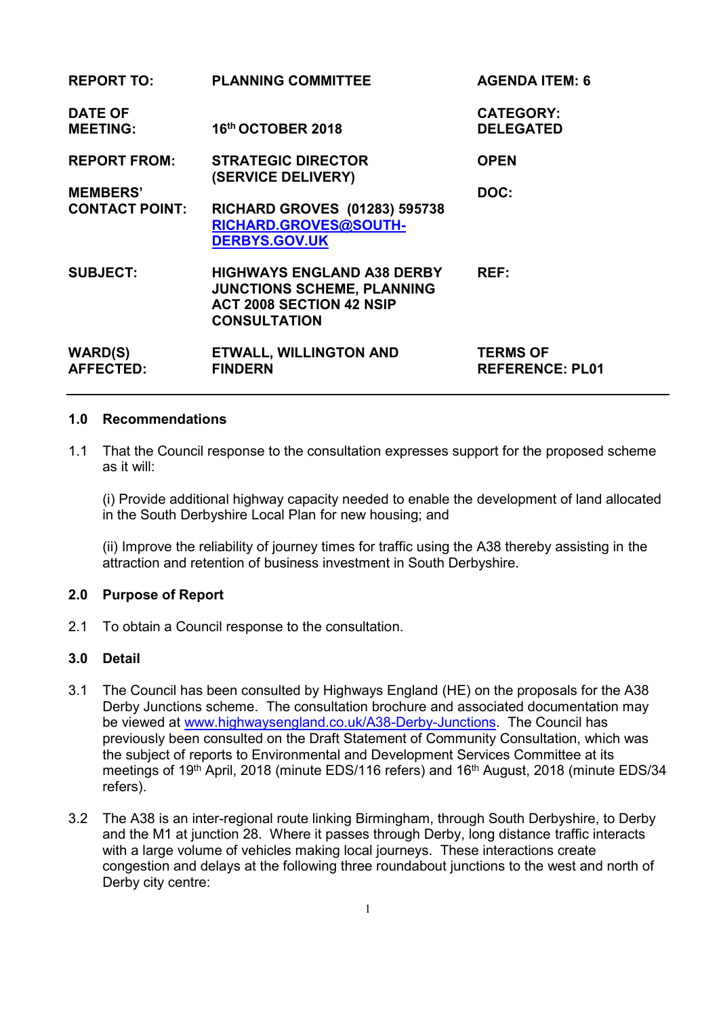| <b>REPORT TO:</b>                  | <b>PLANNING COMMITTEE</b>                                                                                                        | <b>AGENDA ITEM: 6</b>                     |
|------------------------------------|----------------------------------------------------------------------------------------------------------------------------------|-------------------------------------------|
| <b>DATE OF</b><br><b>MEETING:</b>  | 16th OCTOBER 2018                                                                                                                | <b>CATEGORY:</b><br><b>DELEGATED</b>      |
| <b>REPORT FROM:</b>                | <b>STRATEGIC DIRECTOR</b><br>(SERVICE DELIVERY)                                                                                  | <b>OPEN</b>                               |
| <b>MEMBERS'</b>                    |                                                                                                                                  | DOC:                                      |
| <b>CONTACT POINT:</b>              | <b>RICHARD GROVES (01283) 595738</b><br>RICHARD.GROVES@SOUTH-<br><b>DERBYS.GOV.UK</b>                                            |                                           |
| <b>SUBJECT:</b>                    | <b>HIGHWAYS ENGLAND A38 DERBY</b><br><b>JUNCTIONS SCHEME, PLANNING</b><br><b>ACT 2008 SECTION 42 NSIP</b><br><b>CONSULTATION</b> | REF:                                      |
| <b>WARD(S)</b><br><b>AFFECTED:</b> | <b>ETWALL, WILLINGTON AND</b><br><b>FINDERN</b>                                                                                  | <b>TERMS OF</b><br><b>REFERENCE: PL01</b> |

#### **1.0 Recommendations**

1.1 That the Council response to the consultation expresses support for the proposed scheme as it will:

 (i) Provide additional highway capacity needed to enable the development of land allocated in the South Derbyshire Local Plan for new housing; and

 (ii) Improve the reliability of journey times for traffic using the A38 thereby assisting in the attraction and retention of business investment in South Derbyshire.

#### **2.0 Purpose of Report**

2.1 To obtain a Council response to the consultation.

## **3.0 Detail**

- 3.1 The Council has been consulted by Highways England (HE) on the proposals for the A38 Derby Junctions scheme. The consultation brochure and associated documentation may be viewed at [www.highwaysengland.co.uk/A38-Derby-Junctions.](file:///C:/Users/sylvestera/AppData/Local/Microsoft/Windows/Temporary%20Internet%20Files/Content.Outlook/A3WGVOVB/www.highwaysengland.co.uk/A38-Derby-Junctions) The Council has previously been consulted on the Draft Statement of Community Consultation, which was the subject of reports to Environmental and Development Services Committee at its meetings of 19<sup>th</sup> April, 2018 (minute EDS/116 refers) and 16<sup>th</sup> August, 2018 (minute EDS/34 refers).
- 3.2 The A38 is an inter-regional route linking Birmingham, through South Derbyshire, to Derby and the M1 at junction 28. Where it passes through Derby, long distance traffic interacts with a large volume of vehicles making local journeys. These interactions create congestion and delays at the following three roundabout junctions to the west and north of Derby city centre: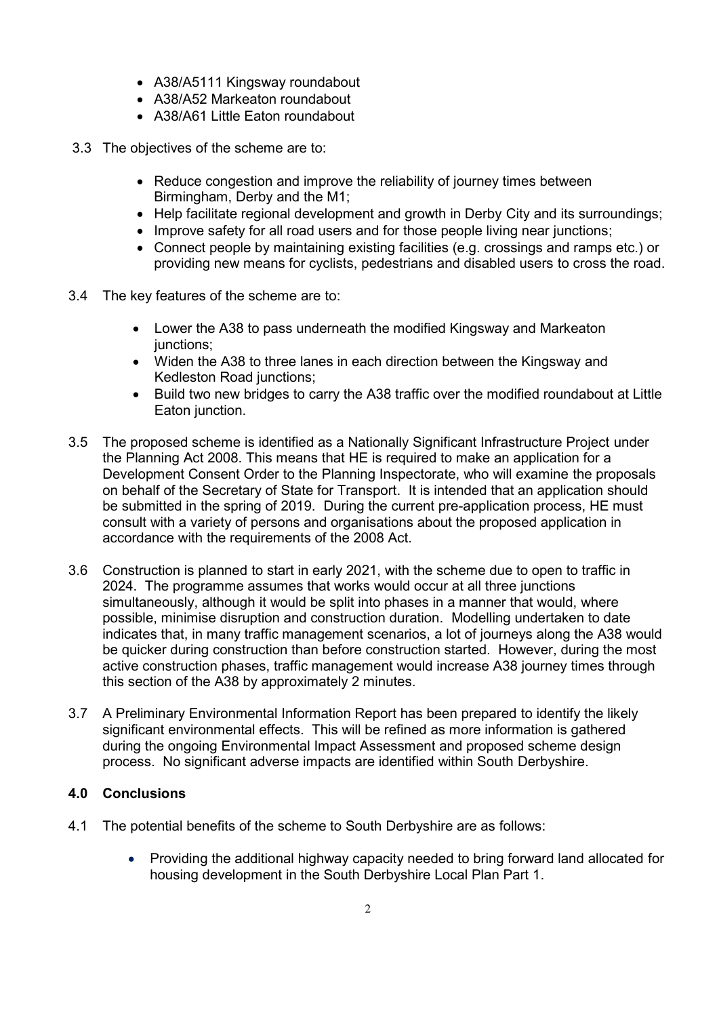- A38/A5111 Kingsway roundabout
- A38/A52 Markeaton roundabout
- A38/A61 Little Eaton roundabout
- 3.3 The objectives of the scheme are to:
	- Reduce congestion and improve the reliability of journey times between Birmingham, Derby and the M1;
	- Help facilitate regional development and growth in Derby City and its surroundings;
	- Improve safety for all road users and for those people living near junctions;
	- Connect people by maintaining existing facilities (e.g. crossings and ramps etc.) or providing new means for cyclists, pedestrians and disabled users to cross the road.
- 3.4 The key features of the scheme are to:
	- Lower the A38 to pass underneath the modified Kingsway and Markeaton junctions:
	- Widen the A38 to three lanes in each direction between the Kingsway and Kedleston Road junctions;
	- Build two new bridges to carry the A38 traffic over the modified roundabout at Little Eaton junction.
- 3.5 The proposed scheme is identified as a Nationally Significant Infrastructure Project under the Planning Act 2008. This means that HE is required to make an application for a Development Consent Order to the Planning Inspectorate, who will examine the proposals on behalf of the Secretary of State for Transport. It is intended that an application should be submitted in the spring of 2019. During the current pre-application process, HE must consult with a variety of persons and organisations about the proposed application in accordance with the requirements of the 2008 Act.
- 3.6 Construction is planned to start in early 2021, with the scheme due to open to traffic in 2024. The programme assumes that works would occur at all three junctions simultaneously, although it would be split into phases in a manner that would, where possible, minimise disruption and construction duration. Modelling undertaken to date indicates that, in many traffic management scenarios, a lot of journeys along the A38 would be quicker during construction than before construction started. However, during the most active construction phases, traffic management would increase A38 journey times through this section of the A38 by approximately 2 minutes.
- 3.7 A Preliminary Environmental Information Report has been prepared to identify the likely significant environmental effects. This will be refined as more information is gathered during the ongoing Environmental Impact Assessment and proposed scheme design process. No significant adverse impacts are identified within South Derbyshire.

# **4.0 Conclusions**

- 4.1 The potential benefits of the scheme to South Derbyshire are as follows:
	- Providing the additional highway capacity needed to bring forward land allocated for housing development in the South Derbyshire Local Plan Part 1.